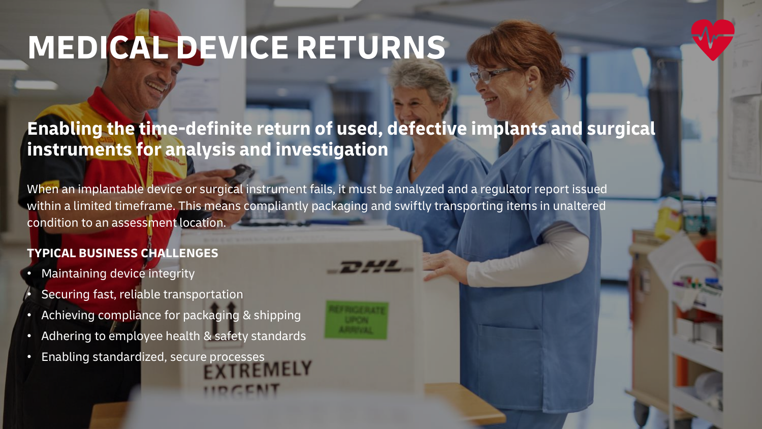# **MEDICAL DEVICE RETURNS**

## **Enabling the time-definite return of used, defective implants and surgical instruments for analysis and investigation**

When an implantable device or surgical instrument fails, it must be analyzed and a regulator report issued within a limited timeframe. This means compliantly packaging and swiftly transporting items in unaltered condition to an assessment location.

### **TYPICAL BUSINESS CHALLENGES**

- Maintaining device integrity
- Securing fast, reliable transportation
- Achieving compliance for packaging & shipping
- Adhering to employee health & safety standards
- Enabling standardized, secure processes